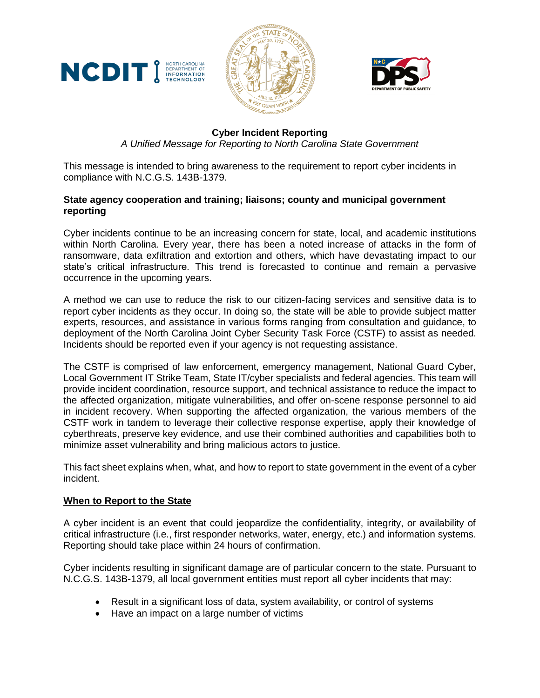





# **Cyber Incident Reporting**

*A Unified Message for Reporting to North Carolina State Government*

This message is intended to bring awareness to the requirement to report cyber incidents in compliance with N.C.G.S. 143B-1379.

## **State agency cooperation and training; liaisons; county and municipal government reporting**

Cyber incidents continue to be an increasing concern for state, local, and academic institutions within North Carolina. Every year, there has been a noted increase of attacks in the form of ransomware, data exfiltration and extortion and others, which have devastating impact to our state's critical infrastructure. This trend is forecasted to continue and remain a pervasive occurrence in the upcoming years.

A method we can use to reduce the risk to our citizen-facing services and sensitive data is to report cyber incidents as they occur. In doing so, the state will be able to provide subject matter experts, resources, and assistance in various forms ranging from consultation and guidance, to deployment of the North Carolina Joint Cyber Security Task Force (CSTF) to assist as needed. Incidents should be reported even if your agency is not requesting assistance.

The CSTF is comprised of law enforcement, emergency management, National Guard Cyber, Local Government IT Strike Team, State IT/cyber specialists and federal agencies. This team will provide incident coordination, resource support, and technical assistance to reduce the impact to the affected organization, mitigate vulnerabilities, and offer on-scene response personnel to aid in incident recovery. When supporting the affected organization, the various members of the CSTF work in tandem to leverage their collective response expertise, apply their knowledge of cyberthreats, preserve key evidence, and use their combined authorities and capabilities both to minimize asset vulnerability and bring malicious actors to justice.

This fact sheet explains when, what, and how to report to state government in the event of a cyber incident.

## **When to Report to the State**

A cyber incident is an event that could jeopardize the confidentiality, integrity, or availability of critical infrastructure (i.e., first responder networks, water, energy, etc.) and information systems. Reporting should take place within 24 hours of confirmation.

Cyber incidents resulting in significant damage are of particular concern to the state. Pursuant to N.C.G.S. 143B-1379, all local government entities must report all cyber incidents that may:

- Result in a significant loss of data, system availability, or control of systems
- Have an impact on a large number of victims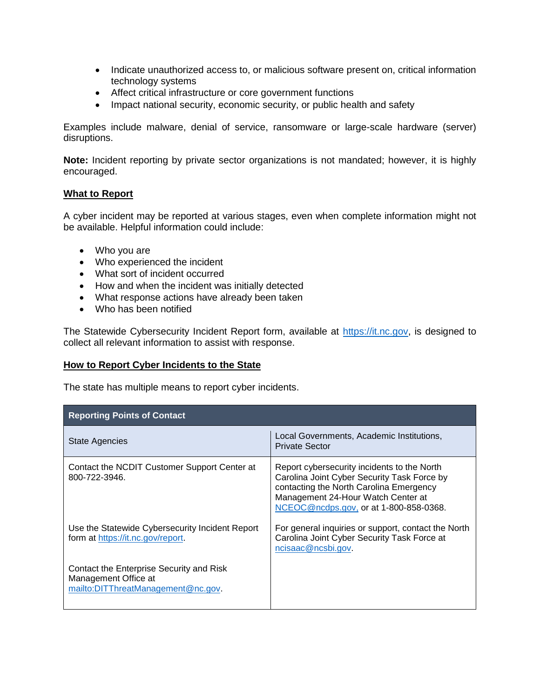- Indicate unauthorized access to, or malicious software present on, critical information technology systems
- Affect critical infrastructure or core government functions
- Impact national security, economic security, or public health and safety

Examples include malware, denial of service, ransomware or large-scale hardware (server) disruptions.

**Note:** Incident reporting by private sector organizations is not mandated; however, it is highly encouraged.

### **What to Report**

A cyber incident may be reported at various stages, even when complete information might not be available. Helpful information could include:

- Who you are
- Who experienced the incident
- What sort of incident occurred
- How and when the incident was initially detected
- What response actions have already been taken
- Who has been notified

The Statewide Cybersecurity Incident Report form, available at [https://it.nc.gov,](https://it.nc.gov/) is designed to collect all relevant information to assist with response.

#### **How to Report Cyber Incidents to the State**

The state has multiple means to report cyber incidents.

| <b>Reporting Points of Contact</b>                                                                     |                                                                                                                                                                                                                       |
|--------------------------------------------------------------------------------------------------------|-----------------------------------------------------------------------------------------------------------------------------------------------------------------------------------------------------------------------|
| State Agencies                                                                                         | Local Governments, Academic Institutions,<br>Private Sector                                                                                                                                                           |
| Contact the NCDIT Customer Support Center at<br>800-722-3946.                                          | Report cybersecurity incidents to the North<br>Carolina Joint Cyber Security Task Force by<br>contacting the North Carolina Emergency<br>Management 24-Hour Watch Center at<br>NCEOC@ncdps.gov, or at 1-800-858-0368. |
| Use the Statewide Cybersecurity Incident Report<br>form at https://it.nc.gov/report.                   | For general inquiries or support, contact the North<br>Carolina Joint Cyber Security Task Force at<br>ncisaac@ncsbi.gov.                                                                                              |
| Contact the Enterprise Security and Risk<br>Management Office at<br>mailto:DITThreatManagement@nc.gov. |                                                                                                                                                                                                                       |